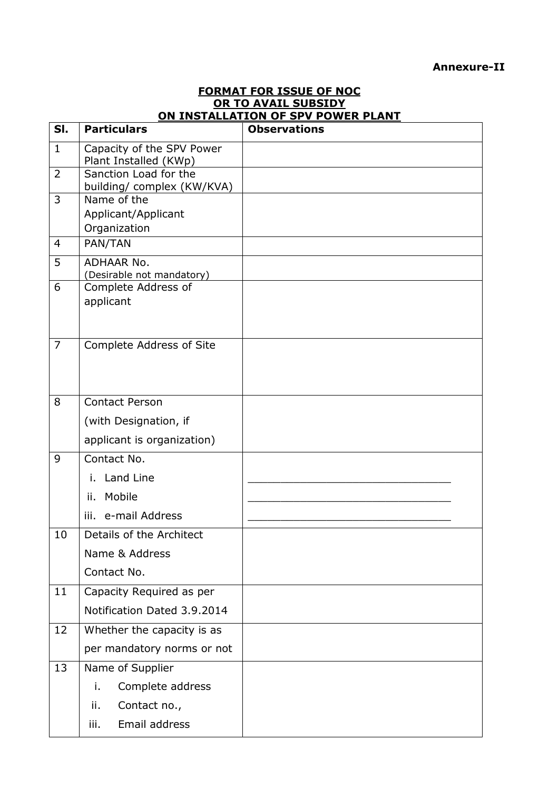## **Annexure-II**

| <u>UN TU AVAIL SUBSIDT</u><br>ON INSTALLATION OF SPV POWER PLANT |                                                     |                     |  |  |
|------------------------------------------------------------------|-----------------------------------------------------|---------------------|--|--|
| SI.                                                              | <b>Particulars</b>                                  | <b>Observations</b> |  |  |
| $\mathbf{1}$                                                     | Capacity of the SPV Power<br>Plant Installed (KWp)  |                     |  |  |
| $\overline{2}$                                                   | Sanction Load for the<br>building/ complex (KW/KVA) |                     |  |  |
| 3                                                                | Name of the<br>Applicant/Applicant<br>Organization  |                     |  |  |
| $\overline{4}$                                                   | PAN/TAN                                             |                     |  |  |
| 5                                                                | <b>ADHAAR No.</b><br>(Desirable not mandatory)      |                     |  |  |
| 6                                                                | Complete Address of<br>applicant                    |                     |  |  |
| $\overline{7}$                                                   | Complete Address of Site                            |                     |  |  |
| 8                                                                | <b>Contact Person</b>                               |                     |  |  |
|                                                                  | (with Designation, if                               |                     |  |  |
|                                                                  | applicant is organization)                          |                     |  |  |
| 9                                                                | Contact No.                                         |                     |  |  |
|                                                                  | i. Land Line                                        |                     |  |  |
|                                                                  | ii. Mobile                                          |                     |  |  |
|                                                                  | iii. e-mail Address                                 |                     |  |  |
| 10                                                               | Details of the Architect                            |                     |  |  |
|                                                                  | Name & Address                                      |                     |  |  |
|                                                                  | Contact No.                                         |                     |  |  |
| 11                                                               | Capacity Required as per                            |                     |  |  |
|                                                                  | Notification Dated 3.9.2014                         |                     |  |  |
| 12                                                               | Whether the capacity is as                          |                     |  |  |
|                                                                  | per mandatory norms or not                          |                     |  |  |
| 13                                                               | Name of Supplier                                    |                     |  |  |
|                                                                  | i.<br>Complete address                              |                     |  |  |
|                                                                  | ii.<br>Contact no.,                                 |                     |  |  |
|                                                                  | Email address<br>iii.                               |                     |  |  |

## **FORMAT FOR ISSUE OF NOC OR TO AVAIL SUBSIDY**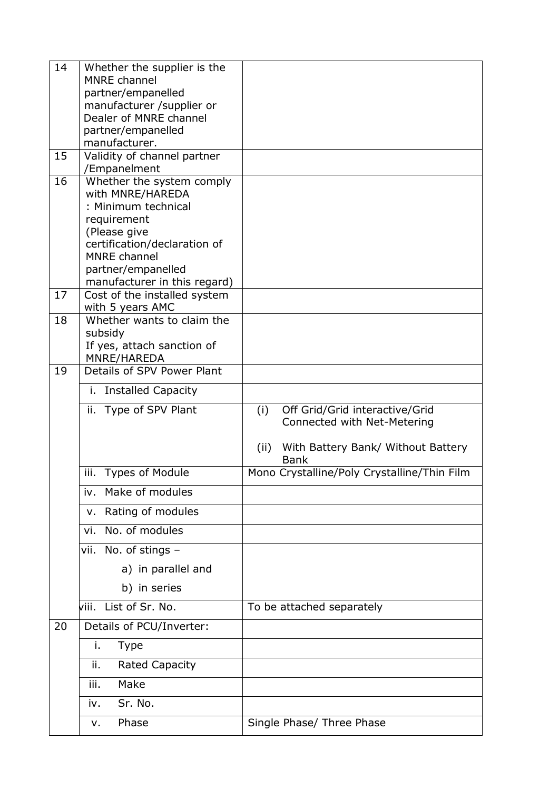| 14 | Whether the supplier is the                         |                                                           |
|----|-----------------------------------------------------|-----------------------------------------------------------|
|    | <b>MNRE</b> channel                                 |                                                           |
|    | partner/empanelled                                  |                                                           |
|    | manufacturer /supplier or<br>Dealer of MNRE channel |                                                           |
|    | partner/empanelled                                  |                                                           |
|    | manufacturer.                                       |                                                           |
| 15 | Validity of channel partner                         |                                                           |
|    | /Empanelment                                        |                                                           |
| 16 | Whether the system comply                           |                                                           |
|    | with MNRE/HAREDA                                    |                                                           |
|    | : Minimum technical<br>requirement                  |                                                           |
|    | (Please give                                        |                                                           |
|    | certification/declaration of                        |                                                           |
|    | <b>MNRE</b> channel                                 |                                                           |
|    | partner/empanelled                                  |                                                           |
|    | manufacturer in this regard)                        |                                                           |
| 17 | Cost of the installed system                        |                                                           |
| 18 | with 5 years AMC<br>Whether wants to claim the      |                                                           |
|    | subsidy                                             |                                                           |
|    | If yes, attach sanction of                          |                                                           |
|    | MNRE/HAREDA                                         |                                                           |
| 19 | Details of SPV Power Plant                          |                                                           |
|    | i. Installed Capacity                               |                                                           |
|    | ii. Type of SPV Plant                               | (i)<br>Off Grid/Grid interactive/Grid                     |
|    |                                                     | Connected with Net-Metering                               |
|    |                                                     |                                                           |
|    |                                                     | With Battery Bank/ Without Battery<br>(ii)<br><b>Bank</b> |
|    | iii.<br><b>Types of Module</b>                      | Mono Crystalline/Poly Crystalline/Thin Film               |
|    | Make of modules<br>iv.                              |                                                           |
|    | Rating of modules<br>v.                             |                                                           |
|    | No. of modules<br>vi.                               |                                                           |
|    | vii. No. of stings -                                |                                                           |
|    | a) in parallel and                                  |                                                           |
|    | b) in series                                        |                                                           |
|    | viii. List of Sr. No.                               | To be attached separately                                 |
| 20 | Details of PCU/Inverter:                            |                                                           |
|    | i.<br><b>Type</b>                                   |                                                           |
|    | <b>Rated Capacity</b><br>ii.                        |                                                           |
|    | Make<br>iii.                                        |                                                           |
|    | Sr. No.<br>iv.                                      |                                                           |
|    | Phase<br>v.                                         | Single Phase/ Three Phase                                 |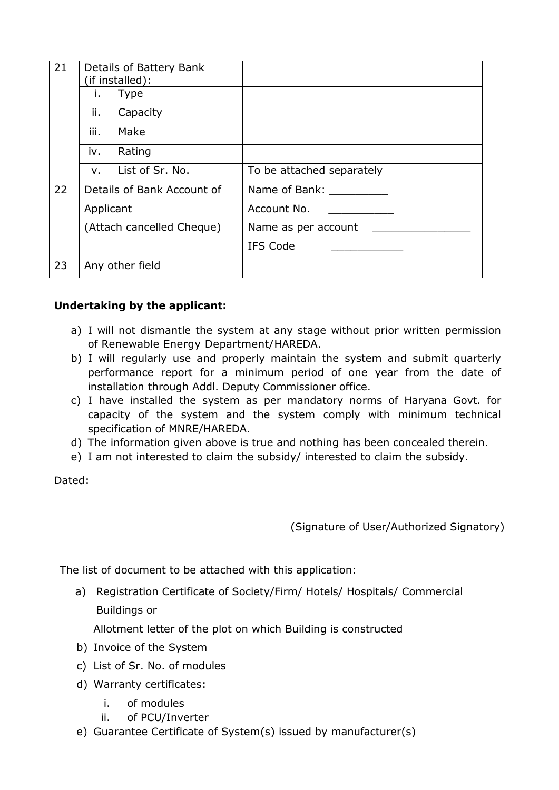| 21 | Details of Battery Bank<br>(if installed): |                           |
|----|--------------------------------------------|---------------------------|
|    | <b>Type</b><br>İ.                          |                           |
|    | ii.<br>Capacity                            |                           |
|    | iii.<br>Make                               |                           |
|    | Rating<br>IV.                              |                           |
|    | List of Sr. No.<br>$V_{\rm{H}}$            | To be attached separately |
| 22 | Details of Bank Account of                 | Name of Bank:             |
|    | Applicant                                  | Account No.               |
|    | (Attach cancelled Cheque)                  | Name as per account       |
|    |                                            | IFS Code                  |
| 23 | Any other field                            |                           |

## **Undertaking by the applicant:**

- a) I will not dismantle the system at any stage without prior written permission of Renewable Energy Department/HAREDA.
- b) I will regularly use and properly maintain the system and submit quarterly performance report for a minimum period of one year from the date of installation through Addl. Deputy Commissioner office.
- c) I have installed the system as per mandatory norms of Haryana Govt. for capacity of the system and the system comply with minimum technical specification of MNRE/HAREDA.
- d) The information given above is true and nothing has been concealed therein.
- e) I am not interested to claim the subsidy/ interested to claim the subsidy.

Dated:

(Signature of User/Authorized Signatory)

The list of document to be attached with this application:

 a) Registration Certificate of Society/Firm/ Hotels/ Hospitals/ Commercial Buildings or

Allotment letter of the plot on which Building is constructed

- b) Invoice of the System
- c) List of Sr. No. of modules
- d) Warranty certificates:
	- i. of modules
	- ii. of PCU/Inverter
- e) Guarantee Certificate of System(s) issued by manufacturer(s)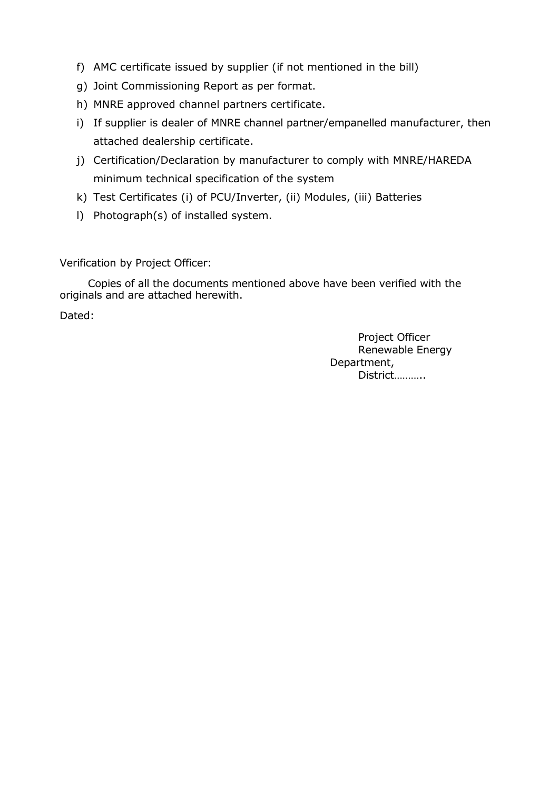- f) AMC certificate issued by supplier (if not mentioned in the bill)
- g) Joint Commissioning Report as per format.
- h) MNRE approved channel partners certificate.
- i) If supplier is dealer of MNRE channel partner/empanelled manufacturer, then attached dealership certificate.
- minimum technical specification of the system j) Certification/Declaration by manufacturer to comply with MNRE/HAREDA
- k) Test Certificates (i) of PCU/Inverter, (ii) Modules, (iii) Batteries
- l) Photograph(s) of installed system.

Verification by Project Officer:

 Copies of all the documents mentioned above have been verified with the originals and are attached herewith.

Dated:

 Project Officer Renewable Energy Department, District………..